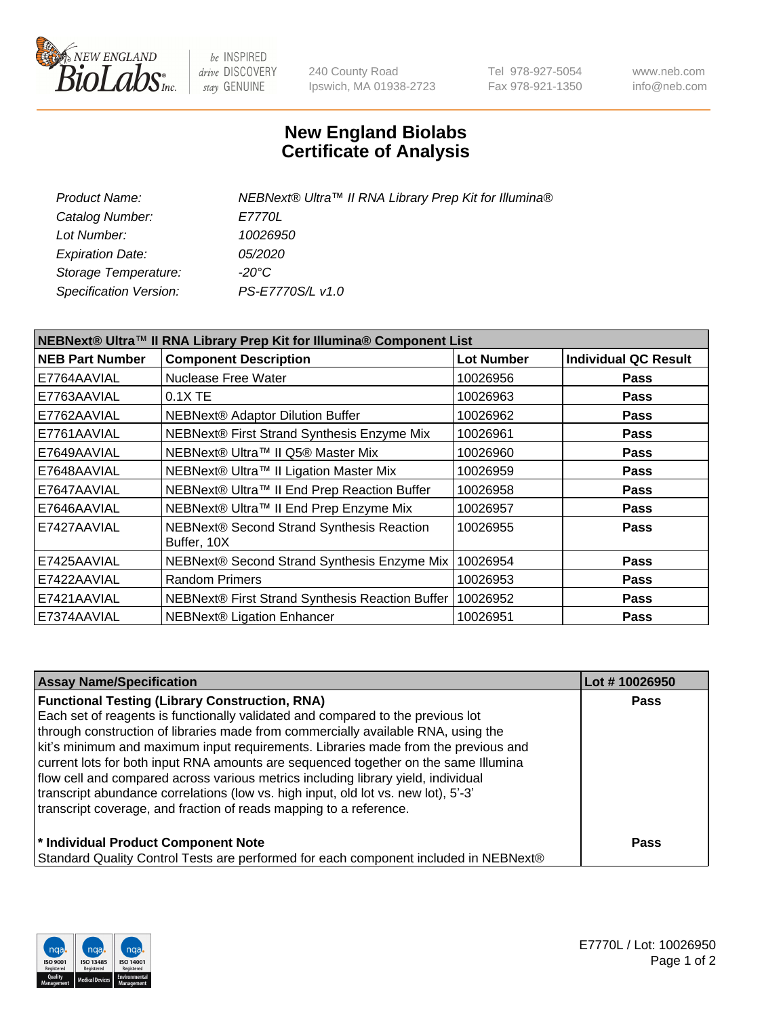

be INSPIRED drive DISCOVERY stay GENUINE

240 County Road Ipswich, MA 01938-2723 Tel 978-927-5054 Fax 978-921-1350 www.neb.com info@neb.com

## **New England Biolabs Certificate of Analysis**

| Product Name:           | NEBNext® Ultra™ II RNA Library Prep Kit for Illumina® |
|-------------------------|-------------------------------------------------------|
| Catalog Number:         | <i>E7770L</i>                                         |
| Lot Number:             | 10026950                                              |
| <b>Expiration Date:</b> | <i>05/2020</i>                                        |
| Storage Temperature:    | -20°C                                                 |
| Specification Version:  | PS-E7770S/L v1.0                                      |
|                         |                                                       |

| NEBNext® Ultra™ II RNA Library Prep Kit for Illumina® Component List |                                                          |                   |                             |  |
|----------------------------------------------------------------------|----------------------------------------------------------|-------------------|-----------------------------|--|
| <b>NEB Part Number</b>                                               | <b>Component Description</b>                             | <b>Lot Number</b> | <b>Individual QC Result</b> |  |
| E7764AAVIAL                                                          | Nuclease Free Water                                      | 10026956          | <b>Pass</b>                 |  |
| E7763AAVIAL                                                          | $0.1X$ TE                                                | 10026963          | <b>Pass</b>                 |  |
| E7762AAVIAL                                                          | <b>NEBNext® Adaptor Dilution Buffer</b>                  | 10026962          | <b>Pass</b>                 |  |
| E7761AAVIAL                                                          | NEBNext® First Strand Synthesis Enzyme Mix               | 10026961          | Pass                        |  |
| E7649AAVIAL                                                          | NEBNext® Ultra™ II Q5® Master Mix                        | 10026960          | <b>Pass</b>                 |  |
| E7648AAVIAL                                                          | NEBNext® Ultra™ II Ligation Master Mix                   | 10026959          | <b>Pass</b>                 |  |
| E7647AAVIAL                                                          | NEBNext® Ultra™ II End Prep Reaction Buffer              | 10026958          | <b>Pass</b>                 |  |
| E7646AAVIAL                                                          | NEBNext® Ultra™ II End Prep Enzyme Mix                   | 10026957          | <b>Pass</b>                 |  |
| E7427AAVIAL                                                          | NEBNext® Second Strand Synthesis Reaction<br>Buffer, 10X | 10026955          | <b>Pass</b>                 |  |
| E7425AAVIAL                                                          | NEBNext® Second Strand Synthesis Enzyme Mix              | 10026954          | <b>Pass</b>                 |  |
| E7422AAVIAL                                                          | <b>Random Primers</b>                                    | 10026953          | <b>Pass</b>                 |  |
| E7421AAVIAL                                                          | NEBNext® First Strand Synthesis Reaction Buffer          | 10026952          | <b>Pass</b>                 |  |
| E7374AAVIAL                                                          | NEBNext® Ligation Enhancer                               | 10026951          | <b>Pass</b>                 |  |

| <b>Assay Name/Specification</b>                                                      | Lot #10026950 |
|--------------------------------------------------------------------------------------|---------------|
| <b>Functional Testing (Library Construction, RNA)</b>                                | <b>Pass</b>   |
| Each set of reagents is functionally validated and compared to the previous lot      |               |
| through construction of libraries made from commercially available RNA, using the    |               |
| kit's minimum and maximum input requirements. Libraries made from the previous and   |               |
| current lots for both input RNA amounts are sequenced together on the same Illumina  |               |
| flow cell and compared across various metrics including library yield, individual    |               |
| transcript abundance correlations (low vs. high input, old lot vs. new lot), 5'-3'   |               |
| transcript coverage, and fraction of reads mapping to a reference.                   |               |
| * Individual Product Component Note                                                  | Pass          |
| Standard Quality Control Tests are performed for each component included in NEBNext® |               |